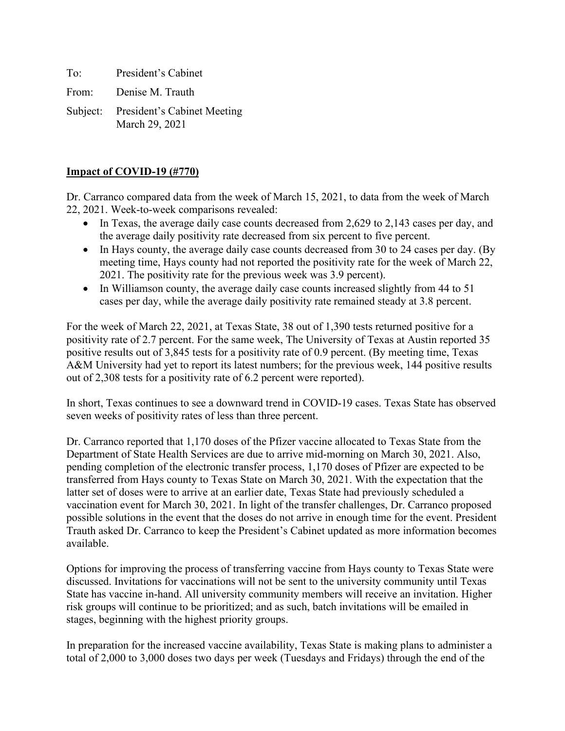To: President's Cabinet

From: Denise M. Trauth

Subject: President's Cabinet Meeting March 29, 2021

## **Impact of COVID-19 (#770)**

Dr. Carranco compared data from the week of March 15, 2021, to data from the week of March 22, 2021. Week-to-week comparisons revealed:

- In Texas, the average daily case counts decreased from 2,629 to 2,143 cases per day, and the average daily positivity rate decreased from six percent to five percent.
- In Hays county, the average daily case counts decreased from 30 to 24 cases per day. (By meeting time, Hays county had not reported the positivity rate for the week of March 22, 2021. The positivity rate for the previous week was 3.9 percent).
- In Williamson county, the average daily case counts increased slightly from 44 to 51 cases per day, while the average daily positivity rate remained steady at 3.8 percent.

For the week of March 22, 2021, at Texas State, 38 out of 1,390 tests returned positive for a positivity rate of 2.7 percent. For the same week, The University of Texas at Austin reported 35 positive results out of 3,845 tests for a positivity rate of 0.9 percent. (By meeting time, Texas A&M University had yet to report its latest numbers; for the previous week, 144 positive results out of 2,308 tests for a positivity rate of 6.2 percent were reported).

In short, Texas continues to see a downward trend in COVID-19 cases. Texas State has observed seven weeks of positivity rates of less than three percent.

Dr. Carranco reported that 1,170 doses of the Pfizer vaccine allocated to Texas State from the Department of State Health Services are due to arrive mid-morning on March 30, 2021. Also, pending completion of the electronic transfer process, 1,170 doses of Pfizer are expected to be transferred from Hays county to Texas State on March 30, 2021. With the expectation that the latter set of doses were to arrive at an earlier date, Texas State had previously scheduled a vaccination event for March 30, 2021. In light of the transfer challenges, Dr. Carranco proposed possible solutions in the event that the doses do not arrive in enough time for the event. President Trauth asked Dr. Carranco to keep the President's Cabinet updated as more information becomes available.

Options for improving the process of transferring vaccine from Hays county to Texas State were discussed. Invitations for vaccinations will not be sent to the university community until Texas State has vaccine in-hand. All university community members will receive an invitation. Higher risk groups will continue to be prioritized; and as such, batch invitations will be emailed in stages, beginning with the highest priority groups.

In preparation for the increased vaccine availability, Texas State is making plans to administer a total of 2,000 to 3,000 doses two days per week (Tuesdays and Fridays) through the end of the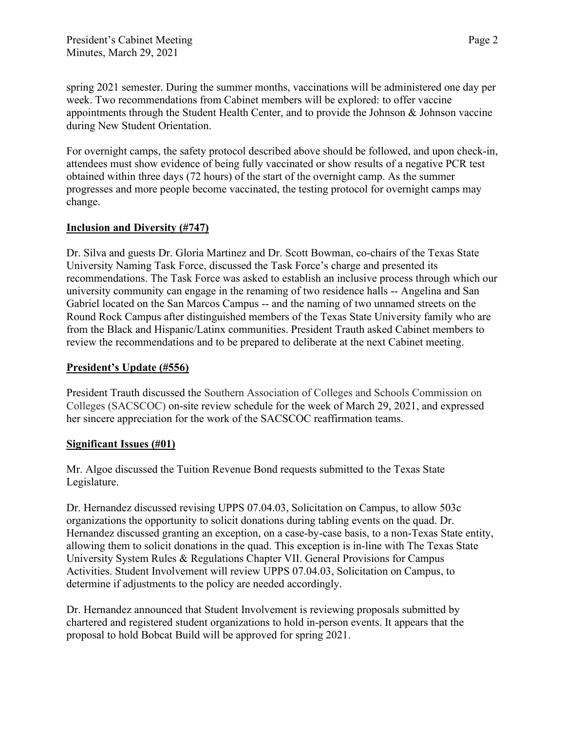spring 2021 semester. During the summer months, vaccinations will be administered one day per week. Two recommendations from Cabinet members will be explored: to offer vaccine appointments through the Student Health Center, and to provide the Johnson & Johnson vaccine during New Student Orientation.

For overnight camps, the safety protocol described above should be followed, and upon check-in, attendees must show evidence of being fully vaccinated or show results of a negative PCR test obtained within three days (72 hours) of the start of the overnight camp. As the summer progresses and more people become vaccinated, the testing protocol for overnight camps may change.

## **Inclusion and Diversity (#747)**

Dr. Silva and guests Dr. Gloria Martinez and Dr. Scott Bowman, co-chairs of the Texas State University Naming Task Force, discussed the Task Force's charge and presented its recommendations. The Task Force was asked to establish an inclusive process through which our university community can engage in the renaming of two residence halls -- Angelina and San Gabriel located on the San Marcos Campus -- and the naming of two unnamed streets on the Round Rock Campus after distinguished members of the Texas State University family who are from the Black and Hispanic/Latinx communities. President Trauth asked Cabinet members to review the recommendations and to be prepared to deliberate at the next Cabinet meeting.

## **President's Update (#556)**

President Trauth discussed the Southern Association of Colleges and Schools Commission on Colleges (SACSCOC) on-site review schedule for the week of March 29, 2021, and expressed her sincere appreciation for the work of the SACSCOC reaffirmation teams.

## **Significant Issues (#01)**

Mr. Algoe discussed the Tuition Revenue Bond requests submitted to the Texas State Legislature.

Dr. Hernandez discussed revising UPPS 07.04.03, Solicitation on Campus, to allow 503c organizations the opportunity to solicit donations during tabling events on the quad. Dr. Hernandez discussed granting an exception, on a case-by-case basis, to a non-Texas State entity, allowing them to solicit donations in the quad. This exception is in-line with The Texas State University System Rules & Regulations Chapter VII. General Provisions for Campus Activities. Student Involvement will review UPPS 07.04.03, Solicitation on Campus, to determine if adjustments to the policy are needed accordingly.

Dr. Hernandez announced that Student Involvement is reviewing proposals submitted by chartered and registered student organizations to hold in-person events. It appears that the proposal to hold Bobcat Build will be approved for spring 2021.